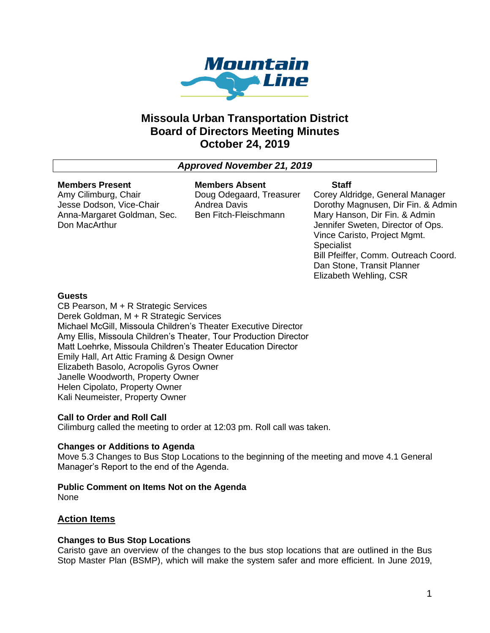

# **Missoula Urban Transportation District Board of Directors Meeting Minutes October 24, 2019**

# *Approved November 21, 2019*

# **Members Present**

Amy Cilimburg, Chair Jesse Dodson, Vice-Chair Anna-Margaret Goldman, Sec. Don MacArthur

**Members Absent** Doug Odegaard, Treasurer Andrea Davis Ben Fitch-Fleischmann

## **Staff**

Corey Aldridge, General Manager Dorothy Magnusen, Dir Fin. & Admin Mary Hanson, Dir Fin. & Admin Jennifer Sweten, Director of Ops. Vince Caristo, Project Mgmt. Specialist Bill Pfeiffer, Comm. Outreach Coord. Dan Stone, Transit Planner Elizabeth Wehling, CSR

# **Guests**

CB Pearson, M + R Strategic Services Derek Goldman, M + R Strategic Services Michael McGill, Missoula Children's Theater Executive Director Amy Ellis, Missoula Children's Theater, Tour Production Director Matt Loehrke, Missoula Children's Theater Education Director Emily Hall, Art Attic Framing & Design Owner Elizabeth Basolo, Acropolis Gyros Owner Janelle Woodworth, Property Owner Helen Cipolato, Property Owner Kali Neumeister, Property Owner

# **Call to Order and Roll Call**

Cilimburg called the meeting to order at 12:03 pm. Roll call was taken.

#### **Changes or Additions to Agenda**

Move 5.3 Changes to Bus Stop Locations to the beginning of the meeting and move 4.1 General Manager's Report to the end of the Agenda.

**Public Comment on Items Not on the Agenda** None

# **Action Items**

#### **Changes to Bus Stop Locations**

Caristo gave an overview of the changes to the bus stop locations that are outlined in the Bus Stop Master Plan (BSMP), which will make the system safer and more efficient. In June 2019,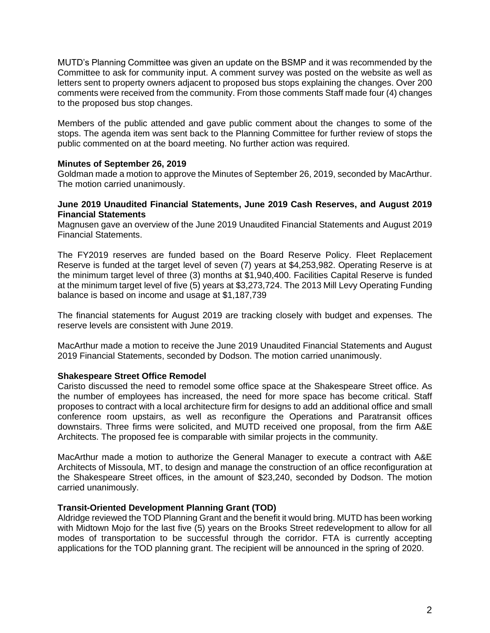MUTD's Planning Committee was given an update on the BSMP and it was recommended by the Committee to ask for community input. A comment survey was posted on the website as well as letters sent to property owners adjacent to proposed bus stops explaining the changes. Over 200 comments were received from the community. From those comments Staff made four (4) changes to the proposed bus stop changes.

Members of the public attended and gave public comment about the changes to some of the stops. The agenda item was sent back to the Planning Committee for further review of stops the public commented on at the board meeting. No further action was required.

## **Minutes of September 26, 2019**

Goldman made a motion to approve the Minutes of September 26, 2019, seconded by MacArthur. The motion carried unanimously.

#### **June 2019 Unaudited Financial Statements, June 2019 Cash Reserves, and August 2019 Financial Statements**

Magnusen gave an overview of the June 2019 Unaudited Financial Statements and August 2019 Financial Statements.

The FY2019 reserves are funded based on the Board Reserve Policy. Fleet Replacement Reserve is funded at the target level of seven (7) years at \$4,253,982. Operating Reserve is at the minimum target level of three (3) months at \$1,940,400. Facilities Capital Reserve is funded at the minimum target level of five (5) years at \$3,273,724. The 2013 Mill Levy Operating Funding balance is based on income and usage at \$1,187,739

The financial statements for August 2019 are tracking closely with budget and expenses. The reserve levels are consistent with June 2019.

MacArthur made a motion to receive the June 2019 Unaudited Financial Statements and August 2019 Financial Statements, seconded by Dodson. The motion carried unanimously.

#### **Shakespeare Street Office Remodel**

Caristo discussed the need to remodel some office space at the Shakespeare Street office. As the number of employees has increased, the need for more space has become critical. Staff proposes to contract with a local architecture firm for designs to add an additional office and small conference room upstairs, as well as reconfigure the Operations and Paratransit offices downstairs. Three firms were solicited, and MUTD received one proposal, from the firm A&E Architects. The proposed fee is comparable with similar projects in the community.

MacArthur made a motion to authorize the General Manager to execute a contract with A&E Architects of Missoula, MT, to design and manage the construction of an office reconfiguration at the Shakespeare Street offices, in the amount of \$23,240, seconded by Dodson. The motion carried unanimously.

#### **Transit-Oriented Development Planning Grant (TOD)**

Aldridge reviewed the TOD Planning Grant and the benefit it would bring. MUTD has been working with Midtown Mojo for the last five (5) years on the Brooks Street redevelopment to allow for all modes of transportation to be successful through the corridor. FTA is currently accepting applications for the TOD planning grant. The recipient will be announced in the spring of 2020.